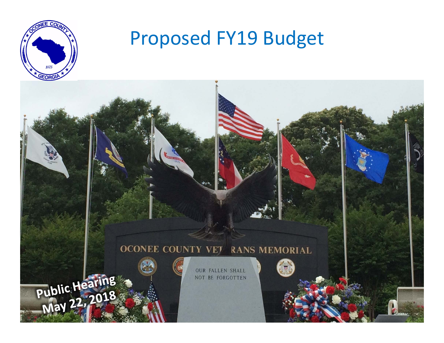

## Proposed FY19 Budget

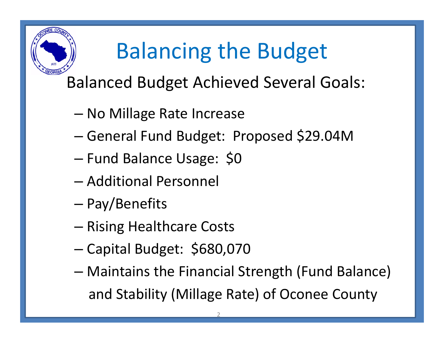# Balancing the Budget

### Balanced Budget Achieved Several Goals:

- – $-$  No Millage Rate Increase
- –General Fund Budget: Proposed \$29.04M
- –Fund Balance Usage: \$0
- Additional Personnel
- –Pay/Benefits
- –**– Rising Healthcare Costs**
- –Capital Budget: \$680,070
- – Maintains the Financial Strength (Fund Balance) and Stability (Millage Rate) of Oconee County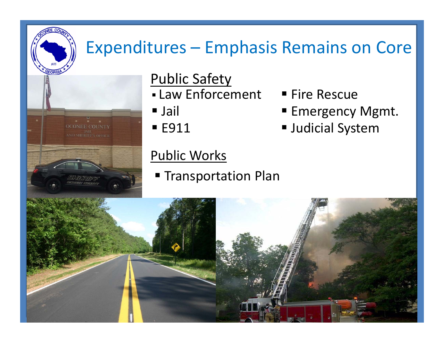### Expenditures – Emphasis Remains on Core

**Emergency Mgmt.** 

Judicial System



### Public Safety

- Law Enforcement Fire Rescue
- Jail
- E911

#### Public Works

**Transportation Plan** 

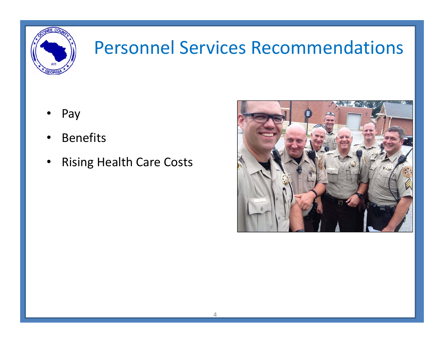

### Personnel Services Recommendations

- •Pay
- •• Benefits
- •Rising Health Care Costs

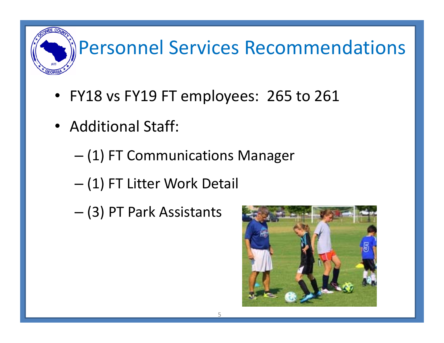# Personnel Services Recommendations

- FY18 vs FY19 FT employees: 265 to 261
- Additional Staff:
	- (1) FT Communications Manager
	- –(1) FT Litter Work Detail
	- –(3) PT Park Assistants

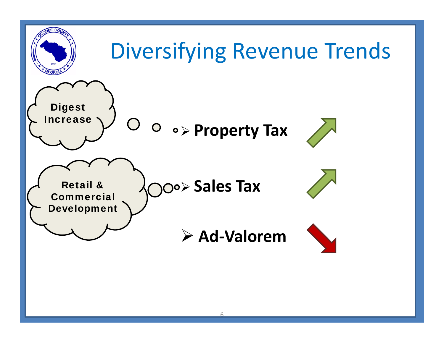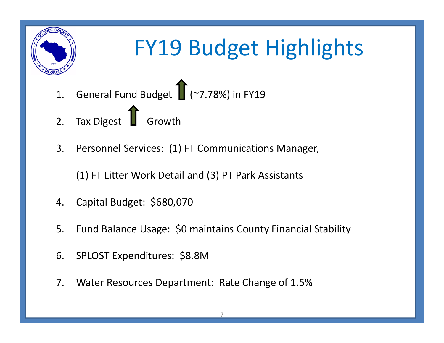

## FY19 Budget Highlights

- 1. General Fund Budget (~7.78%) in FY19
- 2. Tax Digest **1** Growth
- 3. Personnel Services: (1) FT Communications Manager,

(1) FT Litter Work Detail and (3) PT Park Assistants

- 4. Capital Budget: \$680,070
- 5. Fund Balance Usage: \$0 maintains County Financial Stability
- 6. SPLOST Expenditures: \$8.8M
- 7. Water Resources Department: Rate Change of 1.5%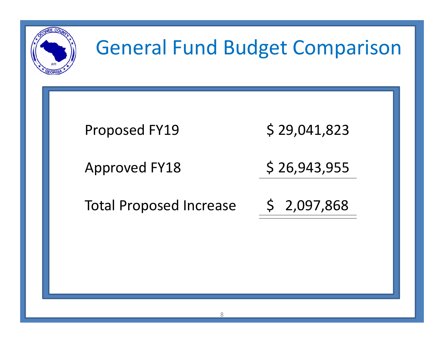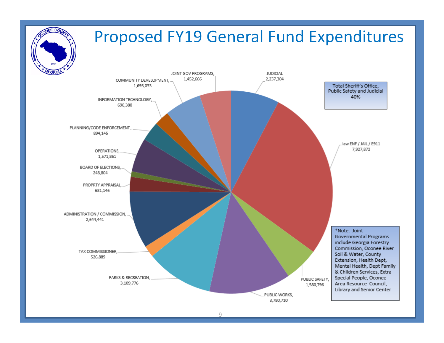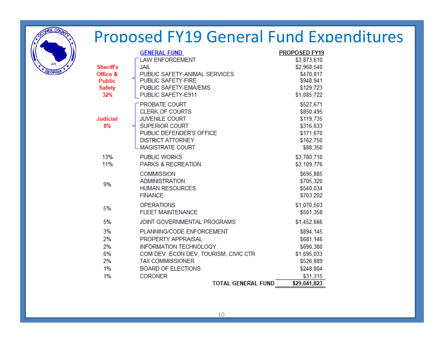

### Proposed FY19 General Fund Expenditures

|                 | <b>GENERAL FUND</b>                   | <b>PROPOSED FY19</b> |
|-----------------|---------------------------------------|----------------------|
|                 | <b>LAW ENFORCEMENT</b>                | \$3,873,610          |
| <b>Sheriffs</b> | <b>JAIL</b>                           | \$2,968,540          |
| Office &        | PUBLIC SAFETY-ANIMAL SERVICES         | \$470,817            |
| <b>Public</b>   | PUBLIC SAFETY-FIRE                    | \$948,941            |
| <b>Safety</b>   | PUBLIC SAFETY-EMA/EMS                 | \$129,723            |
| 32%             | PUBLIC SAFETY-E911                    | \$1,085,722          |
|                 | PROBATE COURT                         | \$527,671            |
|                 | <b>CLERK OF COURTS</b>                | \$850,495            |
| <b>Judicial</b> | <b>JUVENILE COURT</b>                 | \$119,735            |
| 8%              | <b>SUPERIOR COURT</b>                 | \$316,633            |
|                 | PUBLIC DEFENDER'S OFFICE              | \$171,670            |
|                 | <b>DISTRICT ATTORNEY</b>              | \$162,750            |
|                 | <b>MAGISTRATE COURT</b>               | \$88,350             |
| 13%             | <b>PUBLIC WORKS</b>                   | \$3,780,710          |
| 11%             | <b>PARKS &amp; RECREATION</b>         | \$3,109,776          |
|                 | <b>COMMISSION</b>                     | \$695,885            |
| 9%              | <b>ADMINISTRATION</b>                 | \$705,320            |
|                 | <b>HUMAN RESOURCES</b>                | \$540,034            |
|                 | <b>FINANCE</b>                        | \$703,202            |
|                 | <b>OPERATIONS</b>                     | \$1,070,503          |
| 5%              | <b>FLEET MAINTENANCE</b>              | \$501,358            |
| 5%              | JOINT GOVERNMENTAL PROGRAMS           | \$1,452,666          |
| 3%              | PLANNING/CODE ENFORCEMENT             | \$894,145            |
| 2%              | PROPERTY APPRAISAL                    | \$681,146            |
| 2%              | <b>INFORMATION TECHNOLOGY</b>         | \$690,380            |
| 6%              | COM DEV: ECON DEV, TOURISM, CIVIC CTR | \$1,695,033          |
| 2%              | <b>TAX COMMISSIONER</b>               | \$526,889            |
| 1%              | <b>BOARD OF ELECTIONS</b>             | \$248,804            |
| 1%              | <b>CORONER</b>                        | \$31,315             |
|                 | <b>TOTAL GENERAL FUND</b>             | \$29,041,823         |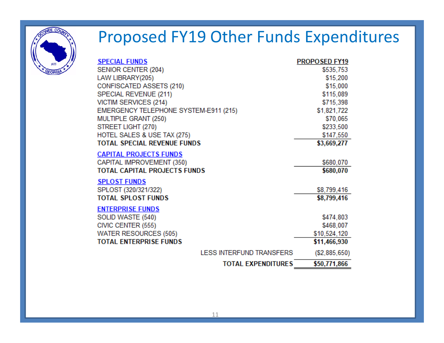

### Proposed FY19 Other Funds Expenditures

| <b>SPECIAL FUNDS</b>                  | <b>PROPOSED FY19</b> |
|---------------------------------------|----------------------|
| SENIOR CENTER (204)                   | \$535,753            |
| LAW LIBRARY(205)                      | \$15,200             |
| CONFISCATED ASSETS (210)              | \$15,000             |
| SPECIAL REVENUE (211)                 | \$115,089            |
| <b>VICTIM SERVICES (214)</b>          | \$715,398            |
| EMERGENCY TELEPHONE SYSTEM-E911 (215) | \$1,821,722          |
| MULTIPLE GRANT (250)                  | \$70,065             |
| STREET LIGHT (270)                    | \$233,500            |
| HOTEL SALES & USE TAX (275)           | \$147,550            |
| TOTAL SPECIAL REVENUE FUNDS           | \$3,669,277          |
| <u>CAPITAL PROJECTS FUNDS</u>         |                      |
| CAPITAL IMPROVEMENT (350)             | \$680,070            |
| TOTAL CAPITAL PROJECTS FUNDS          | \$680,070            |
| <u>SPLOST FUNDS</u>                   |                      |
| SPLOST (320/321/322)                  | \$8,799,416          |
| <b>TOTAL SPLOST FUNDS</b>             | \$8,799,416          |
|                                       |                      |
| <b>ENTERPRISE FUNDS</b>               |                      |
| SOLID WASTE (540)                     | \$474,803            |
| CIVIC CENTER (555)                    | \$468,007            |
| <b>WATER RESOURCES (505)</b>          | \$10,524,120         |
| <b>TOTAL ENTERPRISE FUNDS</b>         | \$11,466,930         |
| LESS INTERFUND TRANSFERS              | (S2, 885, 650)       |
| <b>TOTAL EXPENDITURES</b>             | \$50,771,866         |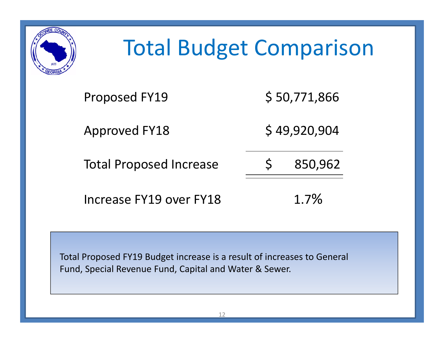

## Total Budget Comparison

| <b>Proposed FY19</b>           | \$50,771,866 |         |
|--------------------------------|--------------|---------|
| <b>Approved FY18</b>           | \$49,920,904 |         |
| <b>Total Proposed Increase</b> | $S_{\cdot}$  | 850,962 |
| Increase FY19 over FY18        |              | $1.7\%$ |

Total Proposed FY19 Budget increase is a result of increases to General Fund, Special Revenue Fund, Capital and Water & Sewer.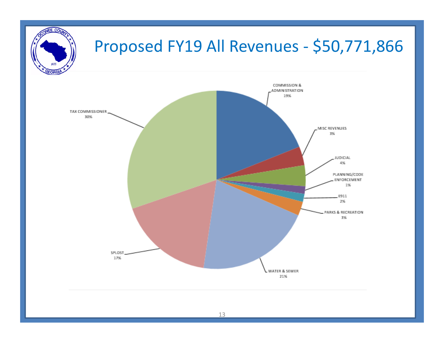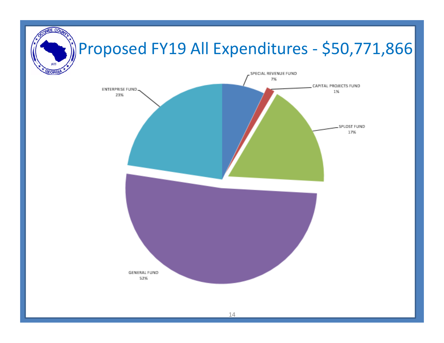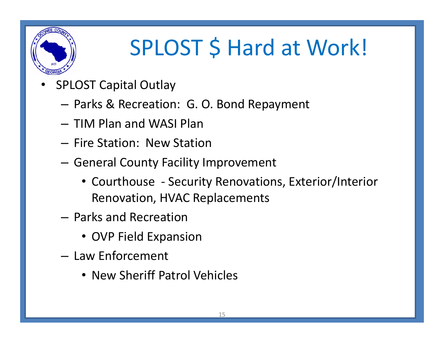

# SPLOST \$ Hard at Work!

- • SPLOST Capital Outlay
	- Parks & Recreation: G. O. Bond Repayment
	- TIM Plan and WASI Plan
	- Fire Station: New Station
	- $-$  General County Facility Improvement
		- Courthouse ‐ Security Renovations, Exterior/Interior Renovation, HVAC Replacements
	- Parks and Recreation
		- OVP Field Expansion
	- Law Enforcement
		- New Sheriff Patrol Vehicles